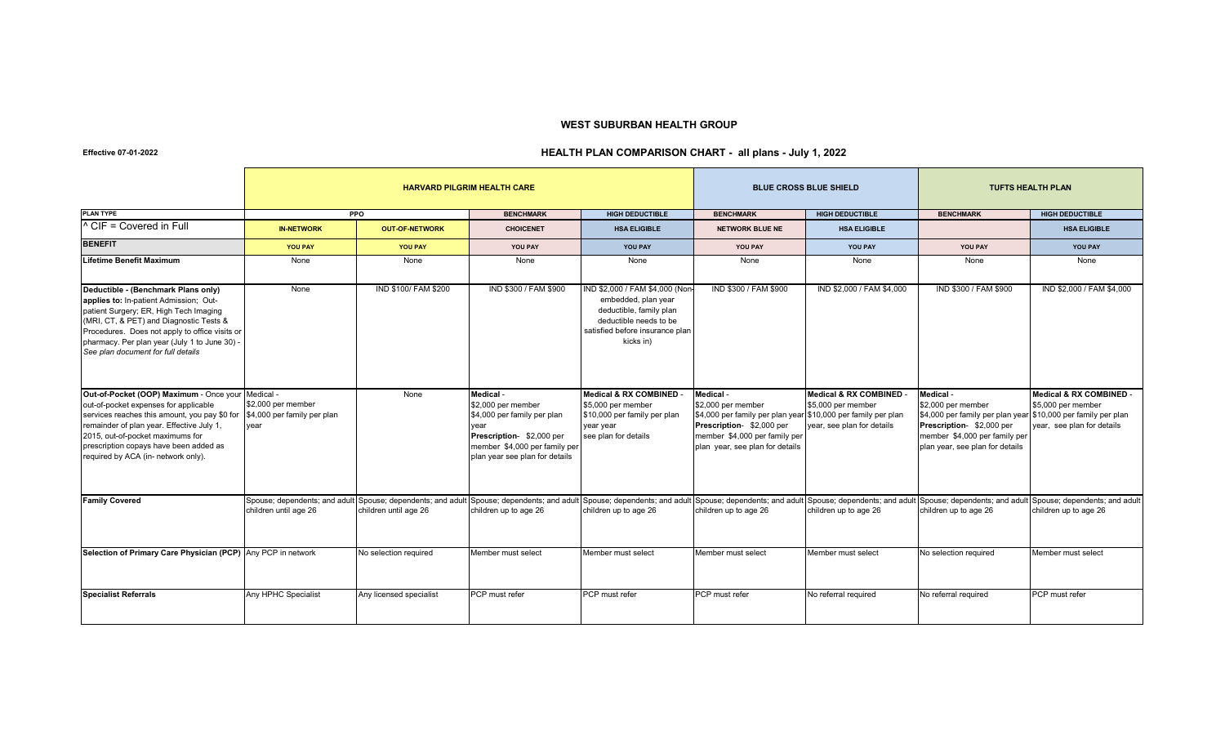## **WEST SUBURBAN HEALTH GROUP**

## **Effective 07-01-2022**

## **HEALTH PLAN COMPARISON CHART - all plans - July 1, 2022**

|                                                                                                                                                                                                                                                                                                               |                                                                                      |                         | <b>HARVARD PILGRIM HEALTH CARE</b>                                                                                                                                    |                                                                                                                                                            |                                                                                                                                                                                                                                            | <b>BLUE CROSS BLUE SHIELD</b>                                               | <b>TUFTS HEALTH PLAN</b>                                                                                                                                                                          |                                                                             |
|---------------------------------------------------------------------------------------------------------------------------------------------------------------------------------------------------------------------------------------------------------------------------------------------------------------|--------------------------------------------------------------------------------------|-------------------------|-----------------------------------------------------------------------------------------------------------------------------------------------------------------------|------------------------------------------------------------------------------------------------------------------------------------------------------------|--------------------------------------------------------------------------------------------------------------------------------------------------------------------------------------------------------------------------------------------|-----------------------------------------------------------------------------|---------------------------------------------------------------------------------------------------------------------------------------------------------------------------------------------------|-----------------------------------------------------------------------------|
| <b>PLAN TYPE</b>                                                                                                                                                                                                                                                                                              |                                                                                      | <b>PPO</b>              | <b>BENCHMARK</b>                                                                                                                                                      | <b>HIGH DEDUCTIBLE</b>                                                                                                                                     | <b>BENCHMARK</b>                                                                                                                                                                                                                           | <b>HIGH DEDUCTIBLE</b>                                                      | <b>BENCHMARK</b>                                                                                                                                                                                  | <b>HIGH DEDUCTIBLE</b>                                                      |
| <sup>1</sup> CIF = Covered in Full                                                                                                                                                                                                                                                                            | <b>IN-NETWORK</b>                                                                    | <b>OUT-OF-NETWORK</b>   | <b>CHOICENET</b>                                                                                                                                                      | <b>HSA ELIGIBLE</b>                                                                                                                                        | <b>NETWORK BLUE NE</b>                                                                                                                                                                                                                     | <b>HSA ELIGIBLE</b>                                                         |                                                                                                                                                                                                   | <b>HSA ELIGIBLE</b>                                                         |
| <b>BENEFIT</b>                                                                                                                                                                                                                                                                                                | <b>YOU PAY</b>                                                                       | <b>YOU PAY</b>          | YOU PAY                                                                                                                                                               | YOU PAY                                                                                                                                                    | <b>YOU PAY</b>                                                                                                                                                                                                                             | YOU PAY                                                                     | YOU PAY                                                                                                                                                                                           | <b>YOU PAY</b>                                                              |
| <b>Lifetime Benefit Maximum</b>                                                                                                                                                                                                                                                                               | None                                                                                 | None                    | None                                                                                                                                                                  | None                                                                                                                                                       | None                                                                                                                                                                                                                                       | None                                                                        | None                                                                                                                                                                                              | None                                                                        |
| Deductible - (Benchmark Plans only)<br>applies to: In-patient Admission; Out-<br>patient Surgery; ER, High Tech Imaging<br>(MRI, CT, & PET) and Diagnostic Tests &<br>Procedures. Does not apply to office visits or<br>pharmacy. Per plan year (July 1 to June 30) -<br>See plan document for full details   | None                                                                                 | IND \$100/ FAM \$200    | IND \$300 / FAM \$900                                                                                                                                                 | IND \$2,000 / FAM \$4,000 (Nor<br>embedded, plan year<br>deductible, family plan<br>deductible needs to be<br>satisfied before insurance plan<br>kicks in) | IND \$300 / FAM \$900                                                                                                                                                                                                                      | IND \$2,000 / FAM \$4,000                                                   | IND \$300 / FAM \$900                                                                                                                                                                             | IND \$2,000 / FAM \$4,000                                                   |
| Out-of-Pocket (OOP) Maximum - Once your Medical -<br>out-of-pocket expenses for applicable<br>services reaches this amount, you pay \$0 for<br>remainder of plan year. Effective July 1,<br>2015, out-of-pocket maximums for<br>prescription copays have been added as<br>required by ACA (in- network only). | \$2,000 per member<br>\$4,000 per family per plan<br>vear                            | None                    | Medical -<br>\$2,000 per member<br>\$4,000 per family per plan<br>vear<br>Prescription-\$2,000 per<br>member \$4,000 per family per<br>plan year see plan for details | <b>Medical &amp; RX COMBINED</b><br>\$5,000 per member<br>\$10,000 per family per plan<br>year year<br>see plan for details                                | Medical -<br>\$2,000 per member<br>\$4,000 per family per plan year \$10,000 per family per plan<br>Prescription- \$2,000 per<br>member \$4,000 per family per<br>plan year, see plan for details                                          | Medical & RX COMBINED -<br>\$5,000 per member<br>year, see plan for details | Medical -<br>\$2,000 per member<br>\$4,000 per family per plan year \$10,000 per family per plan<br>Prescription- \$2,000 per<br>member \$4,000 per family per<br>plan year, see plan for details | Medical & RX COMBINED -<br>\$5,000 per member<br>year, see plan for details |
| <b>Family Covered</b>                                                                                                                                                                                                                                                                                         | Spouse; dependents; and adult Spouse; dependents; and adult<br>children until age 26 | children until age 26   | children up to age 26                                                                                                                                                 | children up to age 26                                                                                                                                      | Spouse; dependents; and adult Spouse; dependents; and adult Spouse; dependents; and adult Spouse; dependents; and adult Spouse; dependents; and adult Spouse; dependents; and adult spouse; dependents; and adult<br>children up to age 26 | children up to age 26                                                       | children up to age 26                                                                                                                                                                             | children up to age 26                                                       |
| Selection of Primary Care Physician (PCP) Any PCP in network                                                                                                                                                                                                                                                  |                                                                                      | No selection required   | Member must select                                                                                                                                                    | Member must select                                                                                                                                         | Member must select                                                                                                                                                                                                                         | Member must select                                                          | No selection required                                                                                                                                                                             | Member must select                                                          |
| <b>Specialist Referrals</b>                                                                                                                                                                                                                                                                                   | Any HPHC Specialist                                                                  | Any licensed specialist | PCP must refer                                                                                                                                                        | PCP must refer                                                                                                                                             | PCP must refer                                                                                                                                                                                                                             | No referral required                                                        | No referral required                                                                                                                                                                              | PCP must refer                                                              |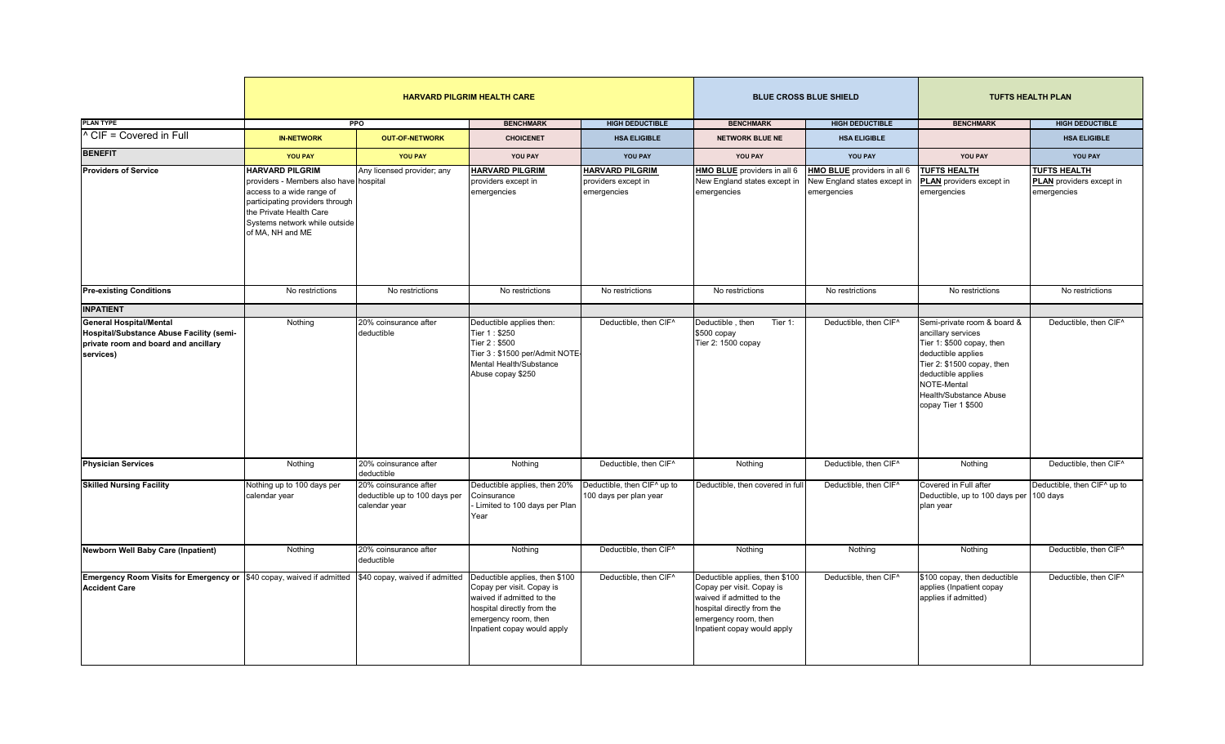|                                                                                                                                 |                                                                                                                                                                                                                  |                                                                         | <b>HARVARD PILGRIM HEALTH CARE</b>                                                                                                                                            |                                                              |                                                                                                                                                                               | <b>BLUE CROSS BLUE SHIELD</b>                                              | <b>TUFTS HEALTH PLAN</b>                                                                                                                                                                                                |                                                                       |
|---------------------------------------------------------------------------------------------------------------------------------|------------------------------------------------------------------------------------------------------------------------------------------------------------------------------------------------------------------|-------------------------------------------------------------------------|-------------------------------------------------------------------------------------------------------------------------------------------------------------------------------|--------------------------------------------------------------|-------------------------------------------------------------------------------------------------------------------------------------------------------------------------------|----------------------------------------------------------------------------|-------------------------------------------------------------------------------------------------------------------------------------------------------------------------------------------------------------------------|-----------------------------------------------------------------------|
| <b>PLAN TYPE</b>                                                                                                                |                                                                                                                                                                                                                  | <b>PPO</b>                                                              | <b>BENCHMARK</b>                                                                                                                                                              | <b>HIGH DEDUCTIBLE</b>                                       | <b>BENCHMARK</b>                                                                                                                                                              | <b>HIGH DEDUCTIBLE</b>                                                     | <b>BENCHMARK</b>                                                                                                                                                                                                        | <b>HIGH DEDUCTIBLE</b>                                                |
| <sup>^</sup> CIF = Covered in Full                                                                                              | <b>IN-NETWORK</b>                                                                                                                                                                                                | <b>OUT-OF-NETWORK</b>                                                   | <b>CHOICENET</b>                                                                                                                                                              | <b>HSA ELIGIBLE</b>                                          | <b>NETWORK BLUE NE</b>                                                                                                                                                        | <b>HSA ELIGIBLE</b>                                                        |                                                                                                                                                                                                                         | <b>HSA ELIGIBLE</b>                                                   |
| <b>BENEFIT</b>                                                                                                                  | <b>YOU PAY</b>                                                                                                                                                                                                   | <b>YOU PAY</b>                                                          | YOU PAY                                                                                                                                                                       | YOU PAY                                                      | YOU PAY                                                                                                                                                                       | YOU PAY                                                                    | YOU PAY                                                                                                                                                                                                                 | YOU PAY                                                               |
| <b>Providers of Service</b>                                                                                                     | <b>HARVARD PILGRIM</b><br>providers - Members also have hospital<br>access to a wide range of<br>participating providers through<br>the Private Health Care<br>Systems network while outside<br>of MA, NH and ME | Any licensed provider; any                                              | <b>HARVARD PILGRIM</b><br>providers except in<br>emergencies                                                                                                                  | <b>HARVARD PILGRIM</b><br>providers except in<br>emergencies | HMO BLUE providers in all 6<br>New England states except in<br>emergencies                                                                                                    | HMO BLUE providers in all 6<br>New England states except in<br>emergencies | <b>TUFTS HEALTH</b><br><b>PLAN</b> providers except in<br>emergencies                                                                                                                                                   | <b>TUFTS HEALTH</b><br><b>PLAN</b> providers except in<br>emergencies |
| <b>Pre-existing Conditions</b>                                                                                                  | No restrictions                                                                                                                                                                                                  | No restrictions                                                         | No restrictions                                                                                                                                                               | No restrictions                                              | No restrictions                                                                                                                                                               | No restrictions                                                            | No restrictions                                                                                                                                                                                                         | No restrictions                                                       |
| <b>INPATIENT</b>                                                                                                                |                                                                                                                                                                                                                  |                                                                         |                                                                                                                                                                               |                                                              |                                                                                                                                                                               |                                                                            |                                                                                                                                                                                                                         |                                                                       |
| <b>General Hospital/Mental</b><br>Hospital/Substance Abuse Facility (semi-<br>private room and board and ancillary<br>services) | Nothing                                                                                                                                                                                                          | 20% coinsurance after<br>deductible                                     | Deductible applies then:<br>Tier 1: \$250<br>Tier 2: \$500<br>Tier 3: \$1500 per/Admit NOTE<br>Mental Health/Substance<br>Abuse copay \$250                                   | Deductible, then CIF^                                        | Deductible, then<br>Tier 1:<br>\$500 copay<br>Tier 2: 1500 copay                                                                                                              | Deductible, then CIF^                                                      | Semi-private room & board &<br>ancillary services<br>Tier 1: \$500 copay, then<br>deductible applies<br>Tier 2: \$1500 copay, then<br>deductible applies<br>NOTE-Mental<br>Health/Substance Abuse<br>copay Tier 1 \$500 | Deductible, then CIF^                                                 |
| <b>Physician Services</b>                                                                                                       | Nothing                                                                                                                                                                                                          | 20% coinsurance after<br>deductible                                     | Nothing                                                                                                                                                                       | Deductible, then CIF <sup>^</sup>                            | Nothing                                                                                                                                                                       | Deductible, then CIF <sup>^</sup>                                          | Nothing                                                                                                                                                                                                                 | Deductible, then CIF^                                                 |
| <b>Skilled Nursing Facility</b>                                                                                                 | Nothing up to 100 days per<br>calendar year                                                                                                                                                                      | 20% coinsurance after<br>deductible up to 100 days per<br>calendar year | Deductible applies, then 20%<br>Coinsurance<br>Limited to 100 days per Plan<br>Year                                                                                           | Deductible, then CIF^ up to<br>100 days per plan year        | Deductible, then covered in full                                                                                                                                              | Deductible, then CIF^                                                      | Covered in Full after<br>Deductible, up to 100 days per 100 days<br>plan year                                                                                                                                           | Deductible, then CIF^ up to                                           |
| Newborn Well Baby Care (Inpatient)                                                                                              | Nothing                                                                                                                                                                                                          | 20% coinsurance after<br>deductible                                     | Nothing                                                                                                                                                                       | Deductible, then CIF^                                        | Nothing                                                                                                                                                                       | Nothing                                                                    | Nothing                                                                                                                                                                                                                 | Deductible, then CIF^                                                 |
| Emergency Room Visits for Emergency or \$40 copay, waived if admitted<br><b>Accident Care</b>                                   |                                                                                                                                                                                                                  | \$40 copay, waived if admitted                                          | Deductible applies, then \$100<br>Copay per visit. Copay is<br>waived if admitted to the<br>hospital directly from the<br>emergency room, then<br>Inpatient copay would apply | Deductible, then CIF^                                        | Deductible applies, then \$100<br>Copay per visit. Copay is<br>waived if admitted to the<br>hospital directly from the<br>emergency room, then<br>Inpatient copay would apply | Deductible, then CIF <sup>^</sup>                                          | \$100 copay, then deductible<br>applies (Inpatient copay<br>applies if admitted)                                                                                                                                        | Deductible, then CIF <sup>^</sup>                                     |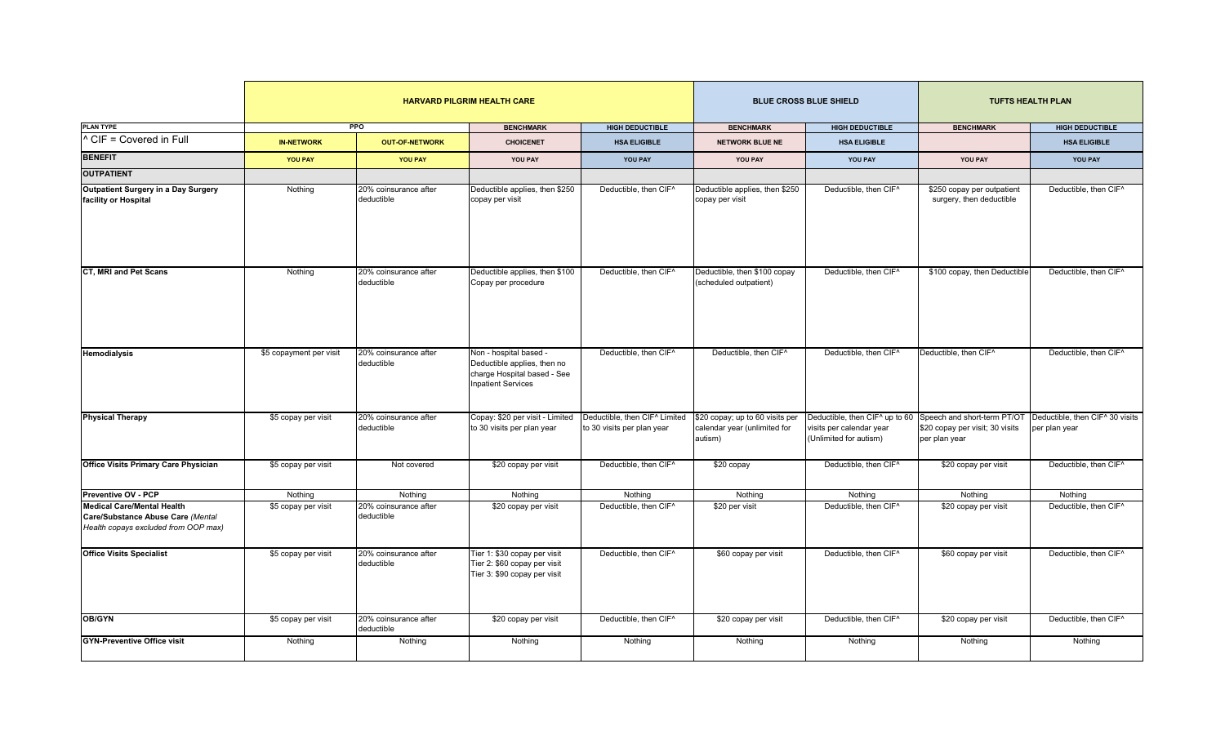|                                                                                                                |                         |                                     | <b>HARVARD PILGRIM HEALTH CARE</b>                                                                                |                                                             |                                                                            | <b>BLUE CROSS BLUE SHIELD</b>                                                                                    |                                                        | <b>TUFTS HEALTH PLAN</b>                         |  |
|----------------------------------------------------------------------------------------------------------------|-------------------------|-------------------------------------|-------------------------------------------------------------------------------------------------------------------|-------------------------------------------------------------|----------------------------------------------------------------------------|------------------------------------------------------------------------------------------------------------------|--------------------------------------------------------|--------------------------------------------------|--|
| <b>PLAN TYPE</b>                                                                                               |                         | <b>PPO</b>                          | <b>BENCHMARK</b>                                                                                                  | <b>HIGH DEDUCTIBLE</b>                                      | <b>BENCHMARK</b>                                                           | <b>HIGH DEDUCTIBLE</b>                                                                                           | <b>BENCHMARK</b>                                       | <b>HIGH DEDUCTIBLE</b>                           |  |
| ^ CIF = Covered in Full                                                                                        | <b>IN-NETWORK</b>       | <b>OUT-OF-NETWORK</b>               | <b>CHOICENET</b>                                                                                                  | <b>HSA ELIGIBLE</b>                                         | <b>NETWORK BLUE NE</b>                                                     | <b>HSA ELIGIBLE</b>                                                                                              |                                                        | <b>HSA ELIGIBLE</b>                              |  |
| <b>BENEFIT</b>                                                                                                 | <b>YOU PAY</b>          | YOU PAY                             | YOU PAY                                                                                                           | YOU PAY                                                     | YOU PAY                                                                    | YOU PAY                                                                                                          | <b>YOU PAY</b>                                         | YOU PAY                                          |  |
| <b>OUTPATIENT</b>                                                                                              |                         |                                     |                                                                                                                   |                                                             |                                                                            |                                                                                                                  |                                                        |                                                  |  |
| Outpatient Surgery in a Day Surgery<br>facility or Hospital                                                    | Nothing                 | 20% coinsurance after<br>deductible | Deductible applies, then \$250<br>copay per visit                                                                 | Deductible, then CIF^                                       | Deductible applies, then \$250<br>copay per visit                          | Deductible, then CIF^                                                                                            | \$250 copay per outpatient<br>surgery, then deductible | Deductible, then CIF <sup>^</sup>                |  |
| <b>CT, MRI and Pet Scans</b>                                                                                   | Nothing                 | 20% coinsurance after<br>deductible | Deductible applies, then \$100<br>Copay per procedure                                                             | Deductible, then CIF^                                       | Deductible, then \$100 copay<br>(scheduled outpatient)                     | Deductible, then CIF^                                                                                            | \$100 copay, then Deductible                           | Deductible, then CIF^                            |  |
| <b>Hemodialysis</b>                                                                                            | \$5 copayment per visit | 20% coinsurance after<br>deductible | Non - hospital based -<br>Deductible applies, then no<br>charge Hospital based - See<br><b>Inpatient Services</b> | Deductible, then CIF <sup>^</sup>                           | Deductible, then CIF <sup>^</sup>                                          | Deductible, then CIF <sup>^</sup>                                                                                | Deductible, then CIF <sup>^</sup>                      | Deductible, then CIF <sup>^</sup>                |  |
| <b>Physical Therapy</b>                                                                                        | \$5 copay per visit     | 20% coinsurance after<br>deductible | Copay: \$20 per visit - Limited<br>to 30 visits per plan year                                                     | Deductible, then CIF^ Limited<br>to 30 visits per plan year | \$20 copay; up to 60 visits per<br>calendar year (unlimited for<br>autism) | Deductible, then CIF^ up to 60 Speech and short-term PT/OT<br>visits per calendar year<br>(Unlimited for autism) | \$20 copay per visit; 30 visits<br>per plan year       | Deductible, then CIF^ 30 visits<br>per plan year |  |
| <b>Office Visits Primary Care Physician</b>                                                                    | \$5 copay per visit     | Not covered                         | \$20 copay per visit                                                                                              | Deductible, then CIF^                                       | \$20 copay                                                                 | Deductible, then CIF <sup>^</sup>                                                                                | \$20 copay per visit                                   | Deductible, then CIF <sup>^</sup>                |  |
| <b>Preventive OV - PCP</b>                                                                                     | Nothing                 | Nothing                             | Nothing                                                                                                           | Nothing                                                     | Nothing                                                                    | Nothing                                                                                                          | Nothing                                                | Nothing                                          |  |
| <b>Medical Care/Mental Health</b><br>Care/Substance Abuse Care (Mental<br>Health copays excluded from OOP max) | \$5 copay per visit     | 20% coinsurance after<br>deductible | \$20 copay per visit                                                                                              | Deductible, then CIF <sup>^</sup>                           | \$20 per visit                                                             | Deductible, then CIF <sup>^</sup>                                                                                | \$20 copay per visit                                   | Deductible, then CIF <sup>^</sup>                |  |
| <b>Office Visits Specialist</b>                                                                                | \$5 copay per visit     | 20% coinsurance after<br>deductible | Tier 1: \$30 copay per visit<br>Tier 2: \$60 copay per visit<br>Tier 3: \$90 copay per visit                      | Deductible, then CIF^                                       | \$60 copay per visit                                                       | Deductible, then CIF^                                                                                            | \$60 copay per visit                                   | Deductible, then CIF^                            |  |
| OB/GYN                                                                                                         | \$5 copay per visit     | 20% coinsurance after<br>deductible | \$20 copay per visit                                                                                              | Deductible, then CIF <sup>^</sup>                           | \$20 copay per visit                                                       | Deductible, then CIF <sup>^</sup>                                                                                | \$20 copay per visit                                   | Deductible, then CIF <sup>^</sup>                |  |
| <b>GYN-Preventive Office visit</b>                                                                             | Nothing                 | Nothing                             | Nothing                                                                                                           | Nothing                                                     | Nothing                                                                    | Nothing                                                                                                          | Nothing                                                | Nothing                                          |  |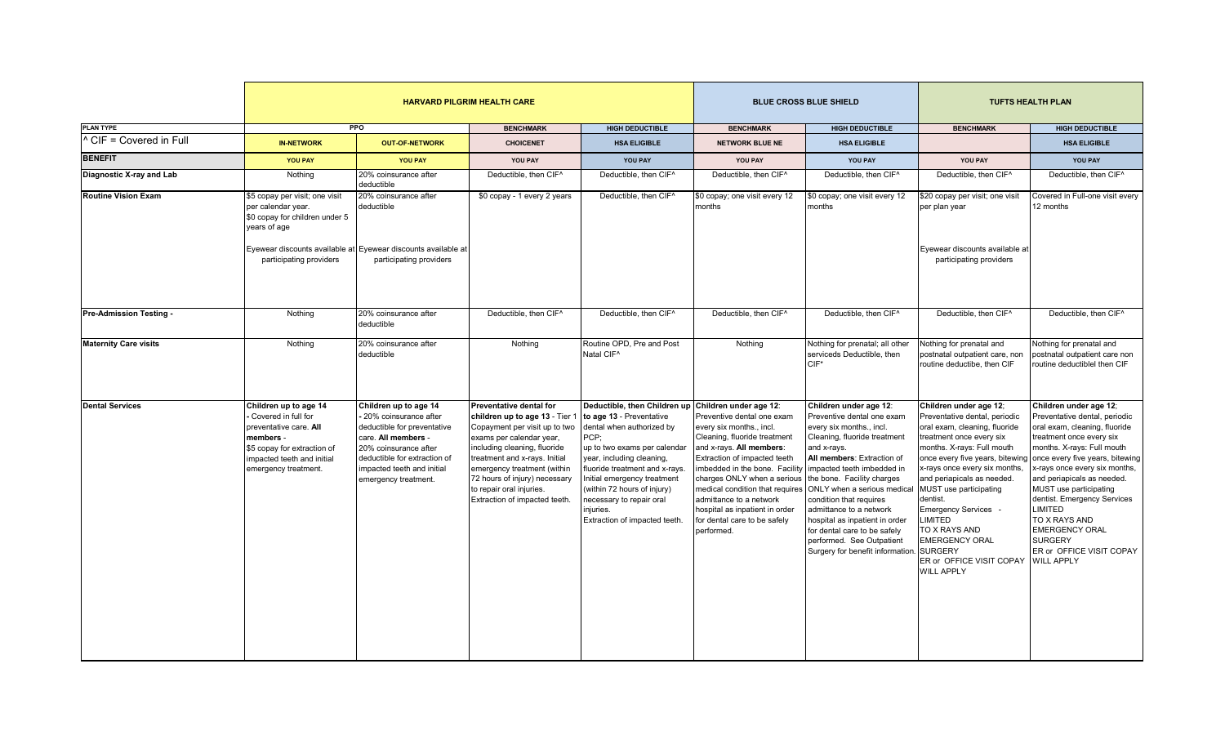|                              |                                                                                                                                                                          |                                                                                                                                                                                                                       | <b>HARVARD PILGRIM HEALTH CARE</b>                                                                                                                                                                                                                                                                                   |                                                                                                                                                                                                                                                                                                                                  |                                                                                                                                                                                                                                                                                                                                                          | <b>BLUE CROSS BLUE SHIELD</b>                                                                                                                                                                                                                                                                                                                                                                                                                                                     | <b>TUFTS HEALTH PLAN</b>                                                                                                                                                                                                                                                                                                                                                                                                                   |                                                                                                                                                                                                                                                                                                                                                                                                                                              |
|------------------------------|--------------------------------------------------------------------------------------------------------------------------------------------------------------------------|-----------------------------------------------------------------------------------------------------------------------------------------------------------------------------------------------------------------------|----------------------------------------------------------------------------------------------------------------------------------------------------------------------------------------------------------------------------------------------------------------------------------------------------------------------|----------------------------------------------------------------------------------------------------------------------------------------------------------------------------------------------------------------------------------------------------------------------------------------------------------------------------------|----------------------------------------------------------------------------------------------------------------------------------------------------------------------------------------------------------------------------------------------------------------------------------------------------------------------------------------------------------|-----------------------------------------------------------------------------------------------------------------------------------------------------------------------------------------------------------------------------------------------------------------------------------------------------------------------------------------------------------------------------------------------------------------------------------------------------------------------------------|--------------------------------------------------------------------------------------------------------------------------------------------------------------------------------------------------------------------------------------------------------------------------------------------------------------------------------------------------------------------------------------------------------------------------------------------|----------------------------------------------------------------------------------------------------------------------------------------------------------------------------------------------------------------------------------------------------------------------------------------------------------------------------------------------------------------------------------------------------------------------------------------------|
| <b>PLAN TYPE</b>             |                                                                                                                                                                          | <b>PPO</b>                                                                                                                                                                                                            | <b>BENCHMARK</b>                                                                                                                                                                                                                                                                                                     | <b>HIGH DEDUCTIBLE</b>                                                                                                                                                                                                                                                                                                           | <b>BENCHMARK</b>                                                                                                                                                                                                                                                                                                                                         | <b>HIGH DEDUCTIBLE</b>                                                                                                                                                                                                                                                                                                                                                                                                                                                            | <b>BENCHMARK</b>                                                                                                                                                                                                                                                                                                                                                                                                                           | <b>HIGH DEDUCTIBLE</b>                                                                                                                                                                                                                                                                                                                                                                                                                       |
| CIF = Covered in Full        | <b>IN-NETWORK</b>                                                                                                                                                        | <b>OUT-OF-NETWORK</b>                                                                                                                                                                                                 | <b>CHOICENET</b>                                                                                                                                                                                                                                                                                                     | <b>HSA ELIGIBLE</b>                                                                                                                                                                                                                                                                                                              | <b>NETWORK BLUE NE</b>                                                                                                                                                                                                                                                                                                                                   | <b>HSA ELIGIBLE</b>                                                                                                                                                                                                                                                                                                                                                                                                                                                               |                                                                                                                                                                                                                                                                                                                                                                                                                                            | <b>HSA ELIGIBLE</b>                                                                                                                                                                                                                                                                                                                                                                                                                          |
| <b>BENEFIT</b>               | <b>YOU PAY</b>                                                                                                                                                           | <b>YOU PAY</b>                                                                                                                                                                                                        | YOU PAY                                                                                                                                                                                                                                                                                                              | YOU PAY                                                                                                                                                                                                                                                                                                                          | YOU PAY                                                                                                                                                                                                                                                                                                                                                  | YOU PAY                                                                                                                                                                                                                                                                                                                                                                                                                                                                           | YOU PAY                                                                                                                                                                                                                                                                                                                                                                                                                                    | YOU PAY                                                                                                                                                                                                                                                                                                                                                                                                                                      |
| Diagnostic X-ray and Lab     | Nothing                                                                                                                                                                  | 20% coinsurance after<br>deductible                                                                                                                                                                                   | Deductible, then CIF <sup>^</sup>                                                                                                                                                                                                                                                                                    | Deductible, then CIF^                                                                                                                                                                                                                                                                                                            | Deductible, then CIF <sup>^</sup>                                                                                                                                                                                                                                                                                                                        | Deductible, then CIF <sup>^</sup>                                                                                                                                                                                                                                                                                                                                                                                                                                                 | Deductible, then CIF <sup>^</sup>                                                                                                                                                                                                                                                                                                                                                                                                          | Deductible, then CIF <sup>^</sup>                                                                                                                                                                                                                                                                                                                                                                                                            |
| <b>Routine Vision Exam</b>   | \$5 copay per visit; one visit<br>per calendar year.<br>\$0 copay for children under 5<br>years of age                                                                   | 20% coinsurance after<br>deductible                                                                                                                                                                                   | \$0 copay - 1 every 2 years                                                                                                                                                                                                                                                                                          | Deductible, then CIF^                                                                                                                                                                                                                                                                                                            | \$0 copay; one visit every 12<br>months                                                                                                                                                                                                                                                                                                                  | \$0 copay; one visit every 12<br>months                                                                                                                                                                                                                                                                                                                                                                                                                                           | \$20 copay per visit; one visit<br>per plan year                                                                                                                                                                                                                                                                                                                                                                                           | Covered in Full-one visit every<br>12 months                                                                                                                                                                                                                                                                                                                                                                                                 |
|                              | participating providers                                                                                                                                                  | Evewear discounts available at Evewear discounts available at<br>participating providers                                                                                                                              |                                                                                                                                                                                                                                                                                                                      |                                                                                                                                                                                                                                                                                                                                  |                                                                                                                                                                                                                                                                                                                                                          |                                                                                                                                                                                                                                                                                                                                                                                                                                                                                   | Evewear discounts available at<br>participating providers                                                                                                                                                                                                                                                                                                                                                                                  |                                                                                                                                                                                                                                                                                                                                                                                                                                              |
| Pre-Admission Testing -      | Nothing                                                                                                                                                                  | 20% coinsurance after<br>deductible                                                                                                                                                                                   | Deductible, then CIF <sup>^</sup>                                                                                                                                                                                                                                                                                    | Deductible, then CIF <sup>^</sup>                                                                                                                                                                                                                                                                                                | Deductible, then CIF <sup>^</sup>                                                                                                                                                                                                                                                                                                                        | Deductible, then CIF <sup>^</sup>                                                                                                                                                                                                                                                                                                                                                                                                                                                 | Deductible, then CIF <sup>^</sup>                                                                                                                                                                                                                                                                                                                                                                                                          | Deductible, then CIF <sup>^</sup>                                                                                                                                                                                                                                                                                                                                                                                                            |
| <b>Maternity Care visits</b> | Nothing                                                                                                                                                                  | 20% coinsurance after<br>deductible                                                                                                                                                                                   | Nothing                                                                                                                                                                                                                                                                                                              | Routine OPD, Pre and Post<br>Natal CIF <sup>^</sup>                                                                                                                                                                                                                                                                              | Nothing                                                                                                                                                                                                                                                                                                                                                  | Nothing for prenatal; all other<br>serviceds Deductible, then<br>$CIF*$                                                                                                                                                                                                                                                                                                                                                                                                           | Nothing for prenatal and<br>postnatal outpatient care, non<br>routine deductibe, then CIF                                                                                                                                                                                                                                                                                                                                                  | Nothing for prenatal and<br>postnatal outpatient care non<br>routine deductiblel then CIF                                                                                                                                                                                                                                                                                                                                                    |
| <b>Dental Services</b>       | Children up to age 14<br>Covered in full for<br>preventative care. All<br>members -<br>\$5 copay for extraction of<br>impacted teeth and initial<br>emergency treatment. | Children up to age 14<br>- 20% coinsurance after<br>deductible for preventative<br>care. All members -<br>20% coinsurance after<br>deductible for extraction of<br>impacted teeth and initial<br>emergency treatment. | Preventative dental for<br>children up to age 13 - Tier 1<br>Copayment per visit up to two<br>exams per calendar year,<br>including cleaning, fluoride<br>treatment and x-rays. Initial<br>emergency treatment (within<br>72 hours of injury) necessary<br>to repair oral injuries.<br>Extraction of impacted teeth. | Deductible, then Children up<br>to age 13 - Preventative<br>dental when authorized by<br>PCP:<br>up to two exams per calendar<br>year, including cleaning,<br>luoride treatment and x-rays.<br>nitial emergency treatment<br>(within 72 hours of injury)<br>ecessary to repair oral<br>njuries.<br>Extraction of impacted teeth. | Children under age 12:<br>Preventive dental one exam<br>every six months., incl.<br>Cleaning, fluoride treatment<br>and x-rays. All members:<br>Extraction of impacted teeth<br>imbedded in the bone. Facility<br>charges ONLY when a serious<br>admittance to a network<br>hospital as inpatient in order<br>for dental care to be safely<br>performed. | Children under age 12:<br>Preventive dental one exam<br>every six months., incl.<br>Cleaning, fluoride treatment<br>and x-rays.<br>All members: Extraction of<br>impacted teeth imbedded in<br>the bone. Facility charges<br>medical condition that requires ONLY when a serious medical<br>condition that requires<br>admittance to a network<br>hospital as inpatient in order<br>for dental care to be safely<br>performed. See Outpatient<br>Surgery for benefit information. | Children under age 12;<br>Preventative dental, periodic<br>oral exam, cleaning, fluoride<br>treatment once every six<br>months. X-rays: Full mouth<br>once every five years, bitewing<br>x-rays once every six months,<br>and periapicals as needed.<br>MUST use participating<br>dentist.<br>Emergency Services -<br>LIMITED<br>TO X RAYS AND<br><b>EMERGENCY ORAL</b><br><b>SURGERY</b><br>ER or OFFICE VISIT COPAY<br><b>WILL APPLY</b> | Children under age 12;<br>Preventative dental, periodic<br>oral exam, cleaning, fluoride<br>treatment once every six<br>months. X-rays: Full mouth<br>once every five years, bitewing<br>x-rays once every six months,<br>and periapicals as needed.<br>MUST use participating<br>dentist. Emergency Services<br><b>LIMITED</b><br>TO X RAYS AND<br><b>EMERGENCY ORAL</b><br><b>SURGERY</b><br>ER or OFFICE VISIT COPAY<br><b>WILL APPLY</b> |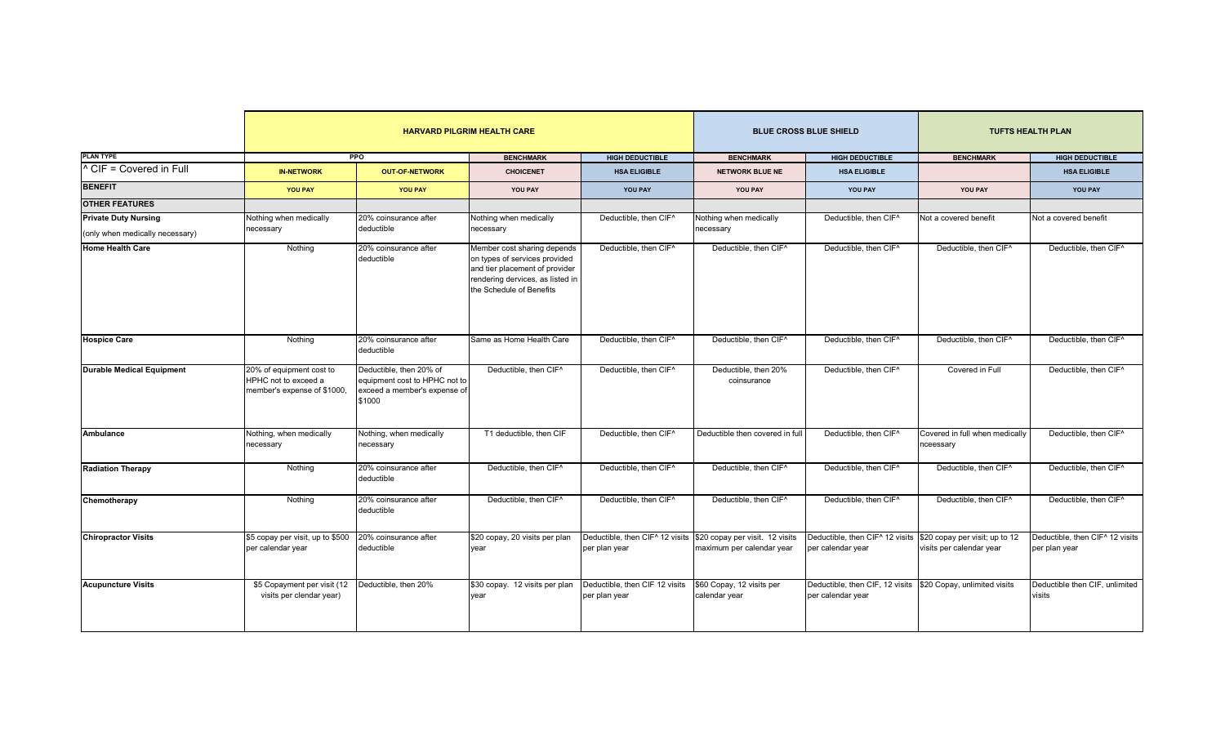|                                  |                                                                                 |                                                                                                    | <b>HARVARD PILGRIM HEALTH CARE</b>                                                                                                                             |                                                  |                                                              | <b>BLUE CROSS BLUE SHIELD</b>                                                       | <b>TUFTS HEALTH PLAN</b>                    |                                                              |
|----------------------------------|---------------------------------------------------------------------------------|----------------------------------------------------------------------------------------------------|----------------------------------------------------------------------------------------------------------------------------------------------------------------|--------------------------------------------------|--------------------------------------------------------------|-------------------------------------------------------------------------------------|---------------------------------------------|--------------------------------------------------------------|
| <b>PLAN TYPE</b>                 |                                                                                 | PPO                                                                                                | <b>BENCHMARK</b>                                                                                                                                               | <b>HIGH DEDUCTIBLE</b>                           | <b>BENCHMARK</b>                                             | <b>HIGH DEDUCTIBLE</b>                                                              | <b>BENCHMARK</b><br><b>HIGH DEDUCTIBLE</b>  |                                                              |
| ^ CIF = Covered in Full          | <b>IN-NETWORK</b>                                                               | <b>OUT-OF-NETWORK</b>                                                                              | <b>CHOICENET</b>                                                                                                                                               | <b>HSA ELIGIBLE</b>                              | <b>NETWORK BLUE NE</b>                                       | <b>HSA ELIGIBLE</b>                                                                 |                                             | <b>HSA ELIGIBLE</b>                                          |
| <b>BENEFIT</b>                   | <b>YOU PAY</b>                                                                  | YOU PAY                                                                                            | YOU PAY                                                                                                                                                        | YOU PAY                                          | YOU PAY                                                      | YOU PAY                                                                             | <b>YOU PAY</b>                              | YOU PAY                                                      |
| <b>OTHER FEATURES</b>            |                                                                                 |                                                                                                    |                                                                                                                                                                |                                                  |                                                              |                                                                                     |                                             |                                                              |
| <b>Private Duty Nursing</b>      | Nothing when medically                                                          | 20% coinsurance after                                                                              | Nothing when medically                                                                                                                                         | Deductible, then CIF <sup>^</sup>                | <b>Nothing when medically</b>                                | Deductible, then CIF <sup>^</sup>                                                   | Not a covered benefit                       | Not a covered benefit                                        |
| (only when medically necessary)  | necessary                                                                       | deductible                                                                                         | necessary                                                                                                                                                      |                                                  | ecessary                                                     |                                                                                     |                                             |                                                              |
| <b>Home Health Care</b>          | Nothing                                                                         | 20% coinsurance after<br>deductible                                                                | Member cost sharing depends<br>on types of services provided<br>and tier placement of provider<br>rendering dervices, as listed in<br>the Schedule of Benefits | Deductible, then CIF^                            | Deductible, then CIF <sup>^</sup>                            | Deductible, then CIF <sup>^</sup>                                                   | Deductible, then CIF^                       | Deductible, then CIF^                                        |
| <b>Hospice Care</b>              | Nothina                                                                         | 20% coinsurance after<br>deductible                                                                | Same as Home Health Care                                                                                                                                       | Deductible, then CIF <sup>^</sup>                | Deductible, then CIF <sup>^</sup>                            | Deductible, then CIF <sup>^</sup>                                                   | Deductible, then CIF <sup>^</sup>           | Deductible, then CIF <sup>^</sup>                            |
| <b>Durable Medical Equipment</b> | 20% of equipment cost to<br>HPHC not to exceed a<br>member's expense of \$1000, | Deductible, then 20% of<br>equipment cost to HPHC not to<br>exceed a member's expense of<br>\$1000 | Deductible, then CIF <sup>^</sup>                                                                                                                              | Deductible, then CIF <sup>^</sup>                | Deductible, then 20%<br>coinsurance                          | Deductible, then CIF <sup>^</sup>                                                   | Covered in Full                             | Deductible, then CIF^                                        |
| Ambulance                        | Nothing, when medically<br>necessary                                            | Nothing, when medically<br>necessary                                                               | T1 deductible, then CIF                                                                                                                                        | Deductible, then CIF <sup>^</sup>                | Deductible then covered in full                              | Deductible, then CIF <sup>^</sup>                                                   | Covered in full when medically<br>nceessary | Deductible, then CIF <sup>^</sup>                            |
| <b>Radiation Therapy</b>         | Nothing                                                                         | 20% coinsurance after<br>deductible                                                                | Deductible, then CIF^                                                                                                                                          | Deductible, then CIF^                            | Deductible, then CIF <sup>^</sup>                            | Deductible, then CIF^                                                               | Deductible, then CIF^                       | Deductible, then CIF <sup>^</sup>                            |
| Chemotherapy                     | Nothing                                                                         | 20% coinsurance after<br>deductible                                                                | Deductible, then CIF <sup>^</sup>                                                                                                                              | Deductible, then CIF^                            | Deductible, then CIF <sup>^</sup>                            | Deductible, then CIF <sup>^</sup>                                                   | Deductible, then CIF^                       | Deductible, then CIF^                                        |
| <b>Chiropractor Visits</b>       | \$5 copay per visit, up to \$500<br>per calendar year                           | 20% coinsurance after<br>deductible                                                                | \$20 copay, 20 visits per plan<br>year                                                                                                                         | Deductible, then CIF^ 12 visits<br>per plan year | \$20 copay per visit. 12 visits<br>naximum per calendar year | Deductible, then CIF^ 12 visits \$20 copay per visit; up to 12<br>per calendar year | visits per calendar year                    | Deductible, then CIF <sup>^</sup> 12 visits<br>per plan year |
| <b>Acupuncture Visits</b>        | \$5 Copayment per visit (12<br>visits per clendar year)                         | Deductible, then 20%                                                                               | \$30 copay. 12 visits per plan<br>year                                                                                                                         | Deductible, then CIF 12 visits<br>per plan year  | \$60 Copay, 12 visits per<br>calendar year                   | Deductible, then CIF, 12 visits \$20 Copay, unlimited visits<br>per calendar year   |                                             | Deductible then CIF, unlimited<br>visits                     |